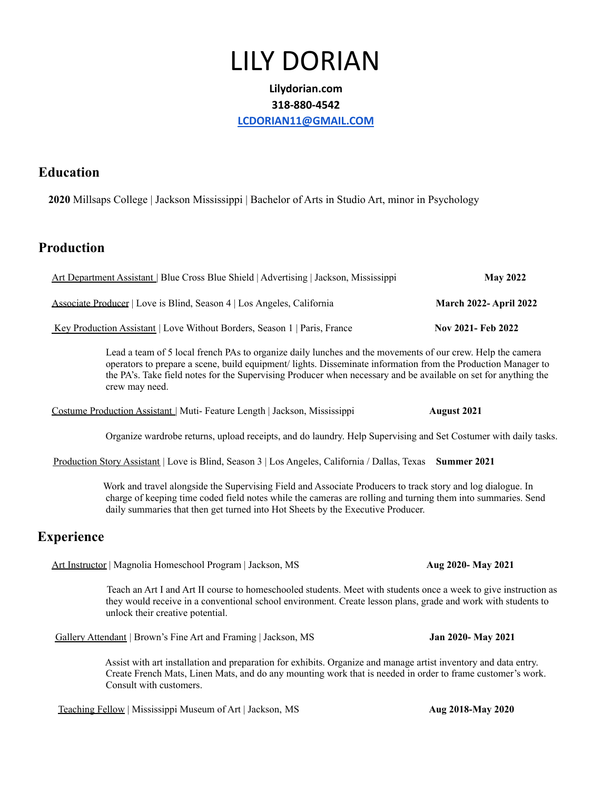# LILY DORIAN

#### **Lilydorian.com 318-880-4542 [LCDORIAN11@GMAIL.COM](mailto:LCDORIAN11@GMAIL.COM)**

#### **Education**

**2020** Millsaps College | Jackson Mississippi | Bachelor of Arts in Studio Art, minor in Psychology

## **Production**

| Art Department Assistant   Blue Cross Blue Shield   Advertising   Jackson, Mississippi | <b>May 2022</b>              |
|----------------------------------------------------------------------------------------|------------------------------|
| Associate Producer   Love is Blind, Season 4   Los Angeles, California                 | <b>March 2022-April 2022</b> |
| <u>Key Production Assistant</u> Love Without Borders, Season 1   Paris, France         | Nov 2021- Feb 2022           |

Lead a team of 5 local french PAs to organize daily lunches and the movements of our crew. Help the camera operators to prepare a scene, build equipment/ lights. Disseminate information from the Production Manager to the PA's. Take field notes for the Supervising Producer when necessary and be available on set for anything the crew may need.

Costume Production Assistant | Muti- Feature Length | Jackson, Mississippi **August 2021**

Organize wardrobe returns, upload receipts, and do laundry. Help Supervising and Set Costumer with daily tasks.

Production Story Assistant | Love is Blind, Season 3 | Los Angeles, California / Dallas, Texas **Summer 2021**

Work and travel alongside the Supervising Field and Associate Producers to track story and log dialogue. In charge of keeping time coded field notes while the cameras are rolling and turning them into summaries. Send daily summaries that then get turned into Hot Sheets by the Executive Producer.

## **Experience**

Art Instructor | Magnolia Homeschool Program | Jackson, MS **Aug 2020- May 2021**

Teach an Art I and Art II course to homeschooled students. Meet with students once a week to give instruction as they would receive in a conventional school environment. Create lesson plans, grade and work with students to unlock their creative potential.

Gallery Attendant | Brown's Fine Art and Framing | Jackson, MS **Jan 2020- May 2021**

Assist with art installation and preparation for exhibits. Organize and manage artist inventory and data entry. Create French Mats, Linen Mats, and do any mounting work that is needed in order to frame customer's work. Consult with customers.

Teaching Fellow | Mississippi Museum of Art | Jackson, MS **Aug 2018-May 2020**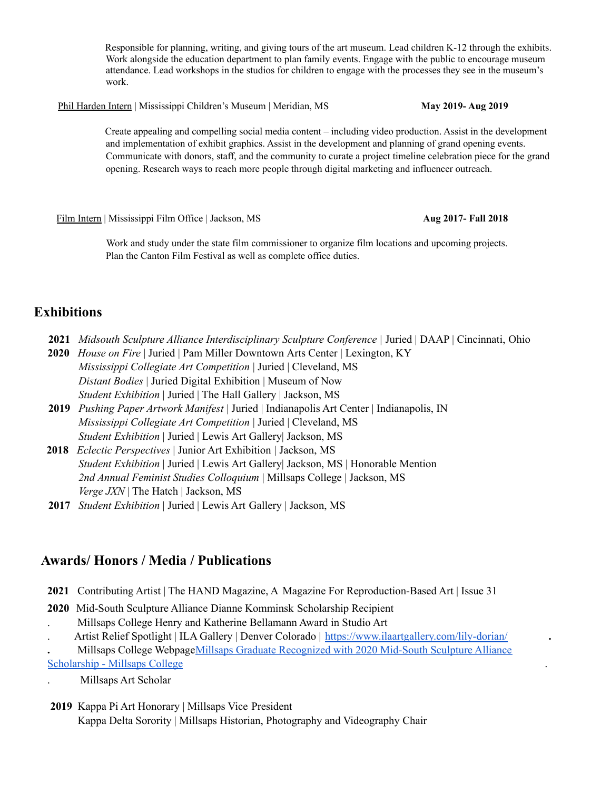Responsible for planning, writing, and giving tours of the art museum. Lead children K-12 through the exhibits. Work alongside the education department to plan family events. Engage with the public to encourage museum attendance. Lead workshops in the studios for children to engage with the processes they see in the museum's work.

Phil Harden Intern | Mississippi Children's Museum | Meridian, MS **May 2019- Aug 2019**

Create appealing and compelling social media content – including video production. Assist in the development and implementation of exhibit graphics. Assist in the development and planning of grand opening events. Communicate with donors, staff, and the community to curate a project timeline celebration piece for the grand opening. Research ways to reach more people through digital marketing and influencer outreach.

Film Intern | Mississippi Film Office | Jackson, MS **Aug 2017- Fall 2018**

Work and study under the state film commissioner to organize film locations and upcoming projects. Plan the Canton Film Festival as well as complete office duties.

## **Exhibitions**

- **2021** *Midsouth Sculpture Alliance Interdisciplinary Sculpture Conference |* Juried | DAAP | Cincinnati, Ohio
- **2020** *House on Fire* | Juried | Pam Miller Downtown Arts Center | Lexington, KY *Mississippi Collegiate Art Competition* | Juried | Cleveland, MS *Distant Bodies* | Juried Digital Exhibition | Museum of Now *Student Exhibition* | Juried | The Hall Gallery | Jackson, MS
- **2019** *Pushing Paper Artwork Manifest* | Juried | Indianapolis Art Center | Indianapolis, IN *Mississippi Collegiate Art Competition* | Juried | Cleveland, MS *Student Exhibition* | Juried | Lewis Art Gallery| Jackson, MS
- **2018** *Eclectic Perspectives* | Junior Art Exhibition | Jackson, MS *Student Exhibition* | Juried | Lewis Art Gallery| Jackson, MS | Honorable Mention *2nd Annual Feminist Studies Colloquium* | Millsaps College | Jackson, MS *Verge JXN* | The Hatch | Jackson, MS
- **2017** *Student Exhibition* | Juried | Lewis Art Gallery | Jackson, MS

## **Awards/ Honors / Media / Publications**

- **2021** Contributing Artist | The HAND Magazine, A Magazine For Reproduction-Based Art | Issue 31
- **2020** Mid-South Sculpture Alliance Dianne Komminsk Scholarship Recipient . Millsaps College Henry and Katherine Bellamann Award in Studio Art
- . Artist Relief Spotlight | ILA Gallery | Denver Colorado | <https://www.ilaartgallery.com/lily-dorian/> **.**

**.** Millsaps College WebpageMillsaps Graduate [Recognized](https://www.millsaps.edu/major-happenings/major-news/millsaps-graduate-recognized-with-2020-mid-south-sculpture-alliance-scholarship/) with 2020 Mid-South Sculpture Alliance [Scholarship](https://www.millsaps.edu/major-happenings/major-news/millsaps-graduate-recognized-with-2020-mid-south-sculpture-alliance-scholarship/) - Millsaps College .

. Millsaps Art Scholar

**2019** Kappa Pi Art Honorary | Millsaps Vice President Kappa Delta Sorority | Millsaps Historian, Photography and Videography Chair